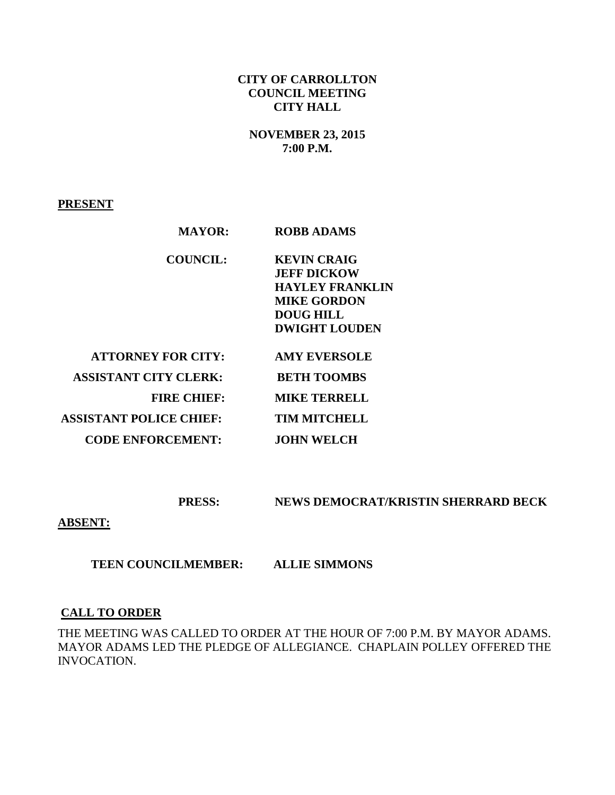### **CITY OF CARROLLTON COUNCIL MEETING CITY HALL**

# **NOVEMBER 23, 2015 7:00 P.M.**

**PRESENT**

| <b>MAYOR:</b>                  | <b>ROBB ADAMS</b>      |
|--------------------------------|------------------------|
| <b>COUNCIL:</b>                | <b>KEVIN CRAIG</b>     |
|                                | <b>JEFF DICKOW</b>     |
|                                | <b>HAYLEY FRANKLIN</b> |
|                                | <b>MIKE GORDON</b>     |
|                                | <b>DOUG HILL</b>       |
|                                | <b>DWIGHT LOUDEN</b>   |
| <b>ATTORNEY FOR CITY:</b>      | <b>AMY EVERSOLE</b>    |
| <b>ASSISTANT CITY CLERK:</b>   | <b>BETH TOOMBS</b>     |
| <b>FIRE CHIEF:</b>             | <b>MIKE TERRELL</b>    |
| <b>ASSISTANT POLICE CHIEF:</b> | <b>TIM MITCHELL</b>    |
| <b>CODE ENFORCEMENT:</b>       | <b>JOHN WELCH</b>      |

 **PRESS: NEWS DEMOCRAT/KRISTIN SHERRARD BECK** 

**ABSENT:** 

 **TEEN COUNCILMEMBER: ALLIE SIMMONS** 

### **CALL TO ORDER**

THE MEETING WAS CALLED TO ORDER AT THE HOUR OF 7:00 P.M. BY MAYOR ADAMS. MAYOR ADAMS LED THE PLEDGE OF ALLEGIANCE. CHAPLAIN POLLEY OFFERED THE INVOCATION.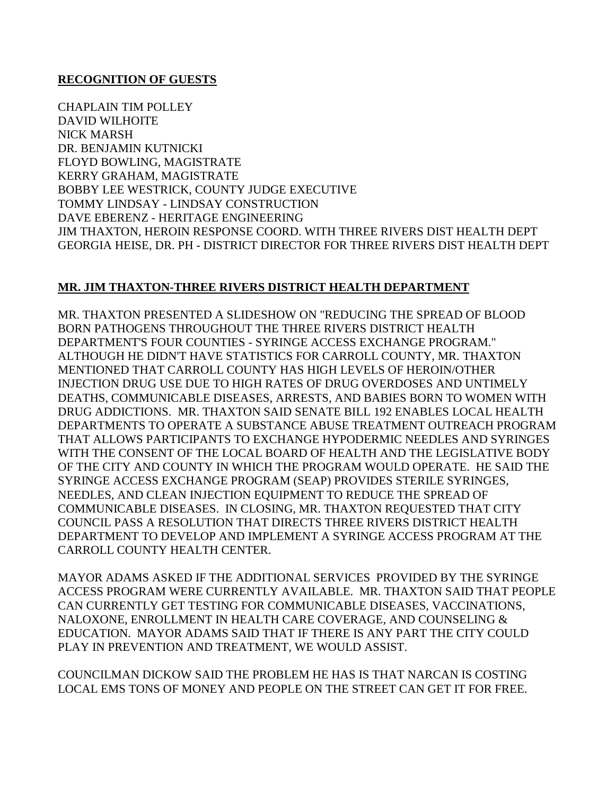#### **RECOGNITION OF GUESTS**

CHAPLAIN TIM POLLEY DAVID WILHOITE NICK MARSH DR. BENJAMIN KUTNICKI FLOYD BOWLING, MAGISTRATE KERRY GRAHAM, MAGISTRATE BOBBY LEE WESTRICK, COUNTY JUDGE EXECUTIVE TOMMY LINDSAY - LINDSAY CONSTRUCTION DAVE EBERENZ - HERITAGE ENGINEERING JIM THAXTON, HEROIN RESPONSE COORD. WITH THREE RIVERS DIST HEALTH DEPT GEORGIA HEISE, DR. PH - DISTRICT DIRECTOR FOR THREE RIVERS DIST HEALTH DEPT

#### **MR. JIM THAXTON-THREE RIVERS DISTRICT HEALTH DEPARTMENT**

MR. THAXTON PRESENTED A SLIDESHOW ON "REDUCING THE SPREAD OF BLOOD BORN PATHOGENS THROUGHOUT THE THREE RIVERS DISTRICT HEALTH DEPARTMENT'S FOUR COUNTIES - SYRINGE ACCESS EXCHANGE PROGRAM." ALTHOUGH HE DIDN'T HAVE STATISTICS FOR CARROLL COUNTY, MR. THAXTON MENTIONED THAT CARROLL COUNTY HAS HIGH LEVELS OF HEROIN/OTHER INJECTION DRUG USE DUE TO HIGH RATES OF DRUG OVERDOSES AND UNTIMELY DEATHS, COMMUNICABLE DISEASES, ARRESTS, AND BABIES BORN TO WOMEN WITH DRUG ADDICTIONS. MR. THAXTON SAID SENATE BILL 192 ENABLES LOCAL HEALTH DEPARTMENTS TO OPERATE A SUBSTANCE ABUSE TREATMENT OUTREACH PROGRAM THAT ALLOWS PARTICIPANTS TO EXCHANGE HYPODERMIC NEEDLES AND SYRINGES WITH THE CONSENT OF THE LOCAL BOARD OF HEALTH AND THE LEGISLATIVE BODY OF THE CITY AND COUNTY IN WHICH THE PROGRAM WOULD OPERATE. HE SAID THE SYRINGE ACCESS EXCHANGE PROGRAM (SEAP) PROVIDES STERILE SYRINGES, NEEDLES, AND CLEAN INJECTION EQUIPMENT TO REDUCE THE SPREAD OF COMMUNICABLE DISEASES. IN CLOSING, MR. THAXTON REQUESTED THAT CITY COUNCIL PASS A RESOLUTION THAT DIRECTS THREE RIVERS DISTRICT HEALTH DEPARTMENT TO DEVELOP AND IMPLEMENT A SYRINGE ACCESS PROGRAM AT THE CARROLL COUNTY HEALTH CENTER.

MAYOR ADAMS ASKED IF THE ADDITIONAL SERVICES PROVIDED BY THE SYRINGE ACCESS PROGRAM WERE CURRENTLY AVAILABLE. MR. THAXTON SAID THAT PEOPLE CAN CURRENTLY GET TESTING FOR COMMUNICABLE DISEASES, VACCINATIONS, NALOXONE, ENROLLMENT IN HEALTH CARE COVERAGE, AND COUNSELING & EDUCATION. MAYOR ADAMS SAID THAT IF THERE IS ANY PART THE CITY COULD PLAY IN PREVENTION AND TREATMENT, WE WOULD ASSIST.

COUNCILMAN DICKOW SAID THE PROBLEM HE HAS IS THAT NARCAN IS COSTING LOCAL EMS TONS OF MONEY AND PEOPLE ON THE STREET CAN GET IT FOR FREE.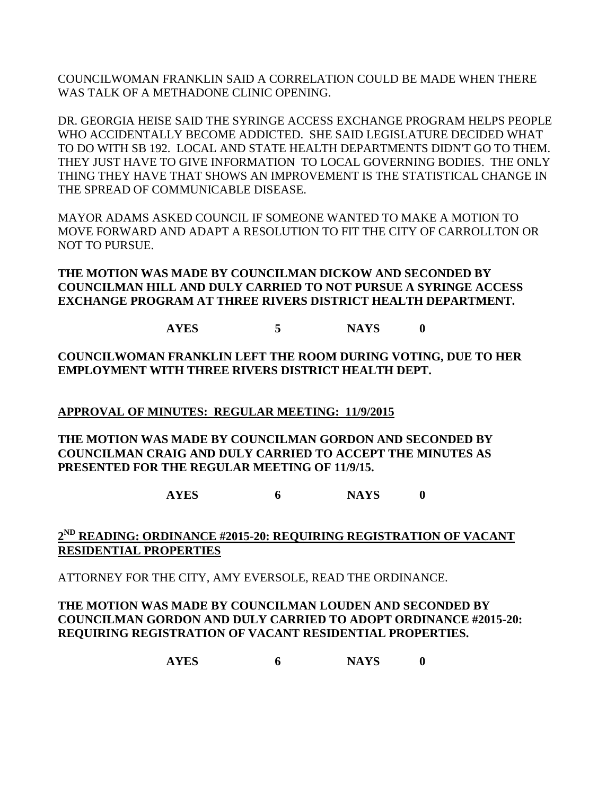COUNCILWOMAN FRANKLIN SAID A CORRELATION COULD BE MADE WHEN THERE WAS TALK OF A METHADONE CLINIC OPENING.

DR. GEORGIA HEISE SAID THE SYRINGE ACCESS EXCHANGE PROGRAM HELPS PEOPLE WHO ACCIDENTALLY BECOME ADDICTED. SHE SAID LEGISLATURE DECIDED WHAT TO DO WITH SB 192. LOCAL AND STATE HEALTH DEPARTMENTS DIDN'T GO TO THEM. THEY JUST HAVE TO GIVE INFORMATION TO LOCAL GOVERNING BODIES. THE ONLY THING THEY HAVE THAT SHOWS AN IMPROVEMENT IS THE STATISTICAL CHANGE IN THE SPREAD OF COMMUNICABLE DISEASE.

MAYOR ADAMS ASKED COUNCIL IF SOMEONE WANTED TO MAKE A MOTION TO MOVE FORWARD AND ADAPT A RESOLUTION TO FIT THE CITY OF CARROLLTON OR NOT TO PURSUE.

**THE MOTION WAS MADE BY COUNCILMAN DICKOW AND SECONDED BY COUNCILMAN HILL AND DULY CARRIED TO NOT PURSUE A SYRINGE ACCESS EXCHANGE PROGRAM AT THREE RIVERS DISTRICT HEALTH DEPARTMENT.**

**AYES 5 NAYS 0**

**COUNCILWOMAN FRANKLIN LEFT THE ROOM DURING VOTING, DUE TO HER EMPLOYMENT WITH THREE RIVERS DISTRICT HEALTH DEPT.**

**APPROVAL OF MINUTES: REGULAR MEETING: 11/9/2015**

**THE MOTION WAS MADE BY COUNCILMAN GORDON AND SECONDED BY COUNCILMAN CRAIG AND DULY CARRIED TO ACCEPT THE MINUTES AS PRESENTED FOR THE REGULAR MEETING OF 11/9/15.**

**AYES 6 NAYS 0**

# **2 ND READING: ORDINANCE #2015-20: REQUIRING REGISTRATION OF VACANT RESIDENTIAL PROPERTIES**

ATTORNEY FOR THE CITY, AMY EVERSOLE, READ THE ORDINANCE.

**THE MOTION WAS MADE BY COUNCILMAN LOUDEN AND SECONDED BY COUNCILMAN GORDON AND DULY CARRIED TO ADOPT ORDINANCE #2015-20: REQUIRING REGISTRATION OF VACANT RESIDENTIAL PROPERTIES.**

**AYES 6 NAYS 0**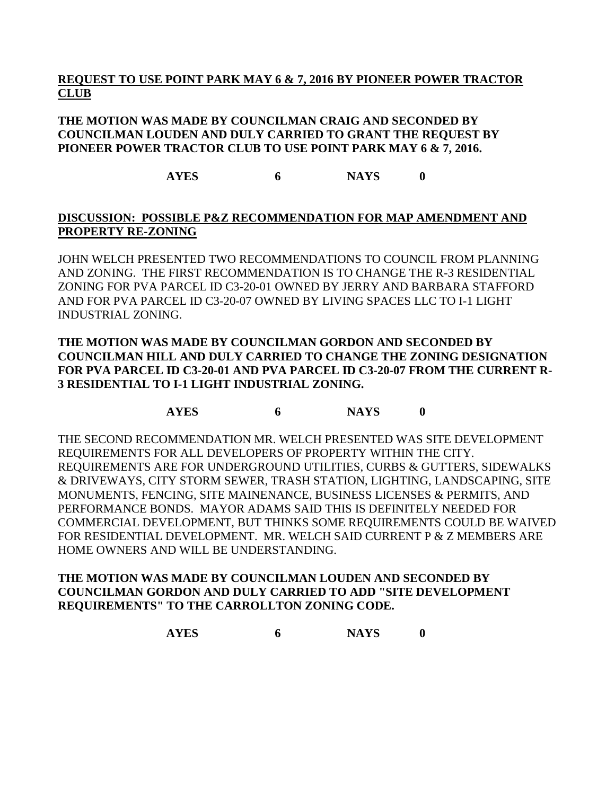# **REQUEST TO USE POINT PARK MAY 6 & 7, 2016 BY PIONEER POWER TRACTOR CLUB**

### **THE MOTION WAS MADE BY COUNCILMAN CRAIG AND SECONDED BY COUNCILMAN LOUDEN AND DULY CARRIED TO GRANT THE REQUEST BY PIONEER POWER TRACTOR CLUB TO USE POINT PARK MAY 6 & 7, 2016.**

**AYES 6 NAYS 0**

### **DISCUSSION: POSSIBLE P&Z RECOMMENDATION FOR MAP AMENDMENT AND PROPERTY RE-ZONING**

JOHN WELCH PRESENTED TWO RECOMMENDATIONS TO COUNCIL FROM PLANNING AND ZONING. THE FIRST RECOMMENDATION IS TO CHANGE THE R-3 RESIDENTIAL ZONING FOR PVA PARCEL ID C3-20-01 OWNED BY JERRY AND BARBARA STAFFORD AND FOR PVA PARCEL ID C3-20-07 OWNED BY LIVING SPACES LLC TO I-1 LIGHT INDUSTRIAL ZONING.

### **THE MOTION WAS MADE BY COUNCILMAN GORDON AND SECONDED BY COUNCILMAN HILL AND DULY CARRIED TO CHANGE THE ZONING DESIGNATION FOR PVA PARCEL ID C3-20-01 AND PVA PARCEL ID C3-20-07 FROM THE CURRENT R-3 RESIDENTIAL TO I-1 LIGHT INDUSTRIAL ZONING.**

**AYES 6 NAYS 0**

THE SECOND RECOMMENDATION MR. WELCH PRESENTED WAS SITE DEVELOPMENT REQUIREMENTS FOR ALL DEVELOPERS OF PROPERTY WITHIN THE CITY. REQUIREMENTS ARE FOR UNDERGROUND UTILITIES, CURBS & GUTTERS, SIDEWALKS & DRIVEWAYS, CITY STORM SEWER, TRASH STATION, LIGHTING, LANDSCAPING, SITE MONUMENTS, FENCING, SITE MAINENANCE, BUSINESS LICENSES & PERMITS, AND PERFORMANCE BONDS. MAYOR ADAMS SAID THIS IS DEFINITELY NEEDED FOR COMMERCIAL DEVELOPMENT, BUT THINKS SOME REQUIREMENTS COULD BE WAIVED FOR RESIDENTIAL DEVELOPMENT. MR. WELCH SAID CURRENT P & Z MEMBERS ARE HOME OWNERS AND WILL BE UNDERSTANDING.

### **THE MOTION WAS MADE BY COUNCILMAN LOUDEN AND SECONDED BY COUNCILMAN GORDON AND DULY CARRIED TO ADD "SITE DEVELOPMENT REQUIREMENTS" TO THE CARROLLTON ZONING CODE.**

**AYES 6 NAYS 0**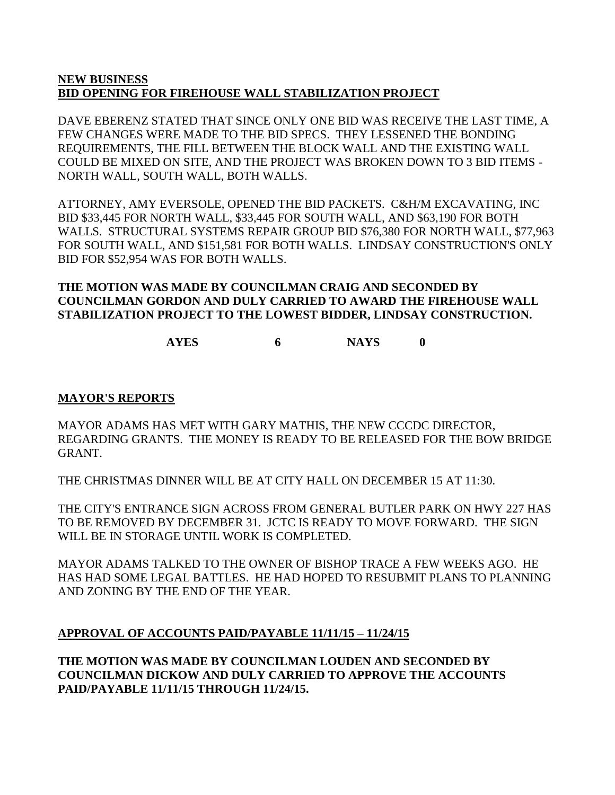### **NEW BUSINESS BID OPENING FOR FIREHOUSE WALL STABILIZATION PROJECT**

DAVE EBERENZ STATED THAT SINCE ONLY ONE BID WAS RECEIVE THE LAST TIME, A FEW CHANGES WERE MADE TO THE BID SPECS. THEY LESSENED THE BONDING REQUIREMENTS, THE FILL BETWEEN THE BLOCK WALL AND THE EXISTING WALL COULD BE MIXED ON SITE, AND THE PROJECT WAS BROKEN DOWN TO 3 BID ITEMS - NORTH WALL, SOUTH WALL, BOTH WALLS.

ATTORNEY, AMY EVERSOLE, OPENED THE BID PACKETS. C&H/M EXCAVATING, INC BID \$33,445 FOR NORTH WALL, \$33,445 FOR SOUTH WALL, AND \$63,190 FOR BOTH WALLS. STRUCTURAL SYSTEMS REPAIR GROUP BID \$76,380 FOR NORTH WALL, \$77,963 FOR SOUTH WALL, AND \$151,581 FOR BOTH WALLS. LINDSAY CONSTRUCTION'S ONLY BID FOR \$52,954 WAS FOR BOTH WALLS.

### **THE MOTION WAS MADE BY COUNCILMAN CRAIG AND SECONDED BY COUNCILMAN GORDON AND DULY CARRIED TO AWARD THE FIREHOUSE WALL STABILIZATION PROJECT TO THE LOWEST BIDDER, LINDSAY CONSTRUCTION.**

**AYES 6 NAYS 0**

# **MAYOR'S REPORTS**

MAYOR ADAMS HAS MET WITH GARY MATHIS, THE NEW CCCDC DIRECTOR, REGARDING GRANTS. THE MONEY IS READY TO BE RELEASED FOR THE BOW BRIDGE GRANT.

THE CHRISTMAS DINNER WILL BE AT CITY HALL ON DECEMBER 15 AT 11:30.

THE CITY'S ENTRANCE SIGN ACROSS FROM GENERAL BUTLER PARK ON HWY 227 HAS TO BE REMOVED BY DECEMBER 31. JCTC IS READY TO MOVE FORWARD. THE SIGN WILL BE IN STORAGE UNTIL WORK IS COMPLETED.

MAYOR ADAMS TALKED TO THE OWNER OF BISHOP TRACE A FEW WEEKS AGO. HE HAS HAD SOME LEGAL BATTLES. HE HAD HOPED TO RESUBMIT PLANS TO PLANNING AND ZONING BY THE END OF THE YEAR.

# **APPROVAL OF ACCOUNTS PAID/PAYABLE 11/11/15 – 11/24/15**

**THE MOTION WAS MADE BY COUNCILMAN LOUDEN AND SECONDED BY COUNCILMAN DICKOW AND DULY CARRIED TO APPROVE THE ACCOUNTS PAID/PAYABLE 11/11/15 THROUGH 11/24/15.**